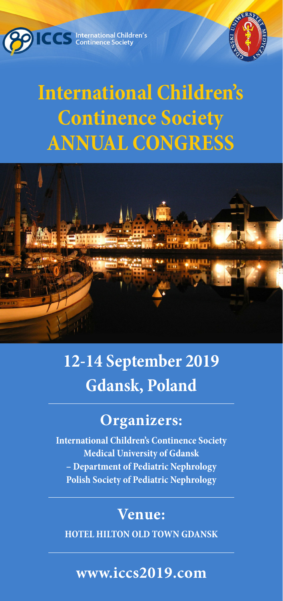**COMPLETE CONTRES** Continence Society



# **International Children's Continence Society ANNUAL CONGRESS**



## **12-14 September 2019 Gdansk, Poland**

### **Organizers:**

**International Children's Continence Society Medical University of Gdansk – Department of Pediatric Nephrology Polish Society of Pediatric Nephrology** 

### **Venue:**

**HOTEL HILTON OLD TOWN GDANSK** 

### **www.iccs2019.com**